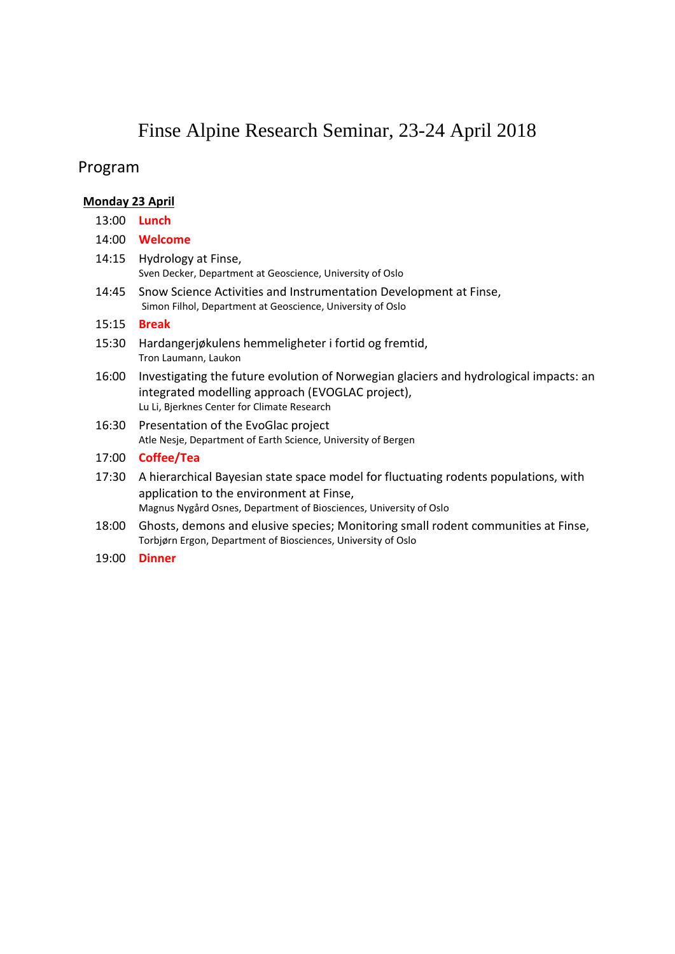# Finse Alpine Research Seminar, 23-24 April 2018

### Program

#### **Monday 23 April**

- 13:00 **Lunch**
- 14:00 **Welcome**
- 14:15 Hydrology at Finse, Sven Decker, Department at Geoscience, University of Oslo
- 14:45 Snow Science Activities and Instrumentation Development at Finse, Simon Filhol, Department at Geoscience, University of Oslo

#### 15:15 **Break**

- 15:30 Hardangerjøkulens hemmeligheter i fortid og fremtid, Tron Laumann, Laukon
- 16:00 Investigating the future evolution of Norwegian glaciers and hydrological impacts: an integrated modelling approach (EVOGLAC project), Lu Li, Bjerknes Center for Climate Research
- 16:30 Presentation of the EvoGlac project Atle Nesje, Department of Earth Science, University of Bergen

#### 17:00 **Coffee/Tea**

- 17:30 A hierarchical Bayesian state space model for fluctuating rodents populations, with application to the environment at Finse, Magnus Nygård Osnes, Department of Biosciences, University of Oslo
- 18:00 Ghosts, demons and elusive species; Monitoring small rodent communities at Finse, Torbjørn Ergon, Department of Biosciences, University of Oslo
- 19:00 **Dinner**